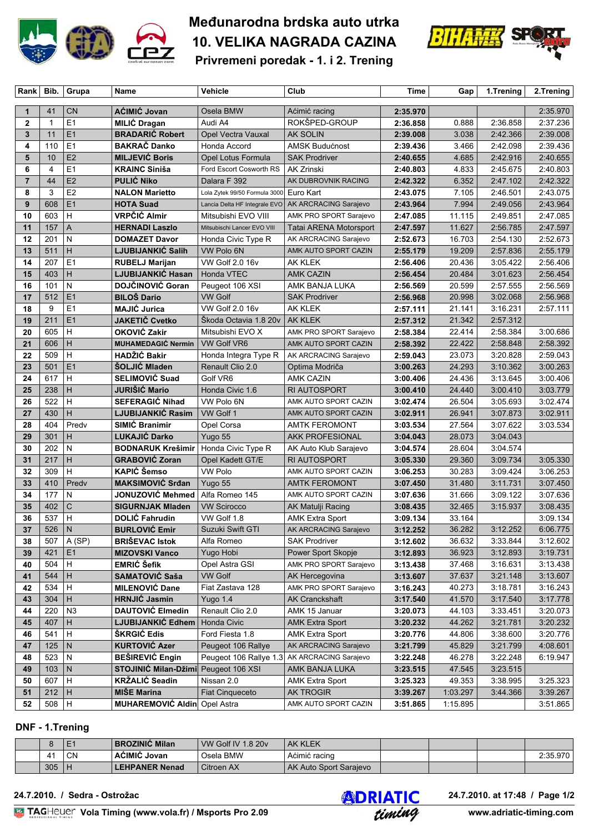

# **Međunarodna brdska auto utrka 10. VELIKA NAGRADA CAZINA**



**Privremeni poredak - 1. i 2. Trening**

| Rank Bib.      |              | Grupa          | Name                                 | Vehicle                       | Club                          | Time                 | Gap      | 1.Trening | 2.Trening |
|----------------|--------------|----------------|--------------------------------------|-------------------------------|-------------------------------|----------------------|----------|-----------|-----------|
|                |              |                |                                      |                               |                               |                      |          |           |           |
| 1              | 41           | <b>CN</b>      | AĆIMIĆ Jovan                         | Osela BMW                     | Aćimić racing                 | 2:35.970             |          |           | 2:35.970  |
| $\overline{2}$ | $\mathbf{1}$ | E1             | <b>MILIĆ Dragan</b>                  | Audi A4                       | ROKŠPED-GROUP                 | 2:36.858             | 0.888    | 2:36.858  | 2:37.236  |
| 3              | 11           | E1             | <b>BRADARIC Robert</b>               | Opel Vectra Vauxal            | <b>AK SOLIN</b>               | 2:39.008             | 3.038    | 2:42.366  | 2:39.008  |
| 4              | 110          | E1             | <b>BAKRAČ Danko</b>                  | Honda Accord                  | AMSK Budućnost                | 2:39.436             | 3.466    | 2:42.098  | 2:39.436  |
| 5              | 10           | E2             | <b>MILJEVIĆ Boris</b>                | Opel Lotus Formula            | <b>SAK Prodriver</b>          | 2:40.655             | 4.685    | 2:42.916  | 2:40.655  |
| 6              | 4            | E1             | <b>KRAINC Siniša</b>                 | Ford Escort Cosworth RS       | AK Zrinski                    | 2:40.803             | 4.833    | 2:45.675  | 2:40.803  |
| $\overline{7}$ | 44           | E2             | <b>PULIĆ Niko</b>                    | Dalara F 392                  | AK DUBROVNIK RACING           | 2:42.322             | 6.352    | 2:47.102  | 2:42.322  |
| 8              | 3            | E <sub>2</sub> | <b>NALON Marietto</b>                | Lola Zytek 99/50 Formula 3000 | Euro Kart                     | 2:43.075             | 7.105    | 2:46.501  | 2:43.075  |
| 9              | 608          | E1             | <b>HOTA Suad</b>                     | Lancia Delta HF Integrale EVO | AK ARCRACING Sarajevo         | 2:43.964             | 7.994    | 2:49.056  | 2:43.964  |
| 10             | 603          | н              | <b>VRPČIĆ Almir</b>                  | Mitsubishi EVO VIII           | AMK PRO SPORT Sarajevo        | 2:47.085             | 11.115   | 2:49.851  | 2:47.085  |
| 11             | 157          | A              | <b>HERNADI Laszlo</b>                | Mitsubischi Lancer EVO VIII   | <b>Tatai ARENA Motorsport</b> | 2:47.597             | 11.627   | 2:56.785  | 2:47.597  |
| 12             | 201          | N              | <b>DOMAZET Davor</b>                 | Honda Civic Type R            | AK ARCRACING Sarajevo         | 2:52.673             | 16.703   | 2:54.130  | 2:52.673  |
| 13             | 511          | н              | <b>LJUBIJANKIĆ Salih</b>             | VW Polo 6N                    | AMK AUTO SPORT CAZIN          | 2:55.179             | 19.209   | 2:57.836  | 2:55.179  |
| 14             | 207          | E <sub>1</sub> | <b>RUBELJ Marijan</b>                | <b>VW Golf 2.0 16v</b>        | AK KLEK                       | 2:56.406             | 20.436   | 3:05.422  | 2:56.406  |
| 15             | 403          | н              | LJUBIJANKIĆ Hasan                    | Honda VTEC                    | AMK CAZIN                     | 2:56.454             | 20.484   | 3:01.623  | 2:56.454  |
| 16             | 101          | N              | <b>DOJČINOVIĆ Goran</b>              | Peugeot 106 XSI               | AMK BANJA LUKA                | 2:56.569             | 20.599   | 2:57.555  | 2:56.569  |
| 17             | 512          | E1             | <b>BILOŠ Dario</b>                   | <b>VW Golf</b>                | <b>SAK Prodriver</b>          | 2:56.968             | 20.998   | 3:02.068  | 2:56.968  |
| 18             | 9            | E1             | <b>MAJIĆ Jurica</b>                  | <b>VW Golf 2.0 16v</b>        | AK KLEK                       | 2:57.111             | 21.141   | 3:16.231  | 2:57.111  |
| 19             | 211          | E1             | <b>JAKETIČ Cvetko</b>                | Škoda Octavia 1.8 20v         | <b>AK KLEK</b>                | 2:57.312             | 21.342   | 2:57.312  |           |
| 20             | 605          | н              | OKOVIĆ Zakir                         | Mitsubishi EVO X              | AMK PRO SPORT Sarajevo        | 2:58.384             | 22.414   | 2:58.384  | 3:00.686  |
| 21             | 606          | H              | <b>MUHAMEDAGIĆ Nermin</b>            | <b>VW Golf VR6</b>            | AMK AUTO SPORT CAZIN          | 2:58.392             | 22.422   | 2:58.848  | 2:58.392  |
| 22             | 509          | H              | HADŽIĆ Bakir                         | Honda Integra Type R          | AK ARCRACING Sarajevo         | 2:59.043             | 23.073   | 3:20.828  | 2:59.043  |
| 23             | 501          | E1             | <b>ŠOLJIĆ Mladen</b>                 | Renault Clio 2.0              | Optima Modriča                | 3:00.263             | 24.293   | 3:10.362  | 3:00.263  |
| 24             | 617          | Н              | <b>SELIMOVIĆ Suad</b>                | Golf VR6                      | AMK CAZIN                     | 3:00.406             | 24.436   | 3:13.645  | 3:00.406  |
| 25             | 238          | H              | JURIŠIĆ Mario                        | Honda Civic 1.6               | <b>RI AUTOSPORT</b>           | 3:00.410             | 24.440   | 3:00.410  | 3:03.779  |
| 26             | 522          | H              | SEFERAGIĆ Nihad                      | VW Polo 6N                    | AMK AUTO SPORT CAZIN          | 3:02.474             | 26.504   | 3:05.693  | 3:02.474  |
| 27             | 430          | H              | <b>LJUBIJANKIĆ Rasim</b>             | VW Golf 1                     | AMK AUTO SPORT CAZIN          | 3:02.911             | 26.941   | 3:07.873  | 3:02.911  |
| 28             | 404          | Predv          | <b>SIMIC Branimir</b>                | Opel Corsa                    | <b>AMTK FEROMONT</b>          | 3:03.534             | 27.564   | 3:07.622  | 3:03.534  |
| 29             | 301          | H              | LUKAJIĆ Darko                        | Yugo 55                       | <b>AKK PROFESIONAL</b>        | 3:04.043             | 28.073   | 3:04.043  |           |
| 30             | 202          | N              | <b>BODNARUK Krešimir</b>             | Honda Civic Type R            | AK Auto Klub Sarajevo         | 3:04.574             | 28.604   | 3:04.574  |           |
| 31             | 217          | H              | <b>GRABOVIĆ Zoran</b>                | Opel Kadett GT/E              | RI AUTOSPORT                  | 3:05.330             | 29.360   | 3:09.734  | 3:05.330  |
| 32             | 309          | H              | <b>KAPIĆ</b> Šemso                   | <b>VW Polo</b>                | AMK AUTO SPORT CAZIN          | 3:06.253             | 30.283   | 3:09.424  | 3:06.253  |
| 33             | 410          | Predv          | <b>MAKSIMOVIĆ Srđan</b>              | Yugo 55                       | <b>AMTK FEROMONT</b>          | 3:07.450             | 31.480   | 3:11.731  | 3:07.450  |
| 34             | 177          | N              | JONUZOVIĆ Mehmed                     | Alfa Romeo 145                | AMK AUTO SPORT CAZIN          | 3:07.636             | 31.666   | 3:09.122  | 3:07.636  |
| 35             | 402          | C              | <b>SIGURNJAK Mladen</b>              | <b>VW Scirocco</b>            | AK Matulji Racing             | 3:08.435             | 32.465   | 3:15.937  | 3:08.435  |
| 36             | 537          | Н              | <b>DOLIC Fahrudin</b>                | VW Golf 1.8                   | AMK Extra Sport               | 3:09.134             | 33.164   |           | 3:09.134  |
| 37             | 526          | N              | <b>BURLOVIĆ Emir</b>                 | Suzuki Swift GTI              |                               |                      | 36.282   | 3:12.252  | 6:06.775  |
|                |              |                |                                      |                               | AK ARCRACING Sarajevo         | 3:12.252<br>3:12.602 |          | 3:33.844  |           |
| 38             | 507          | A(SP)          | <b>BRISEVAC Istok</b>                | Alfa Romeo                    | <b>SAK Prodriver</b>          |                      | 36.632   |           | 3:12.602  |
| 39             | 421          | E1             | <b>MIZOVSKI Vanco</b>                | Yugo Hobi                     | Power Sport Skopje            | 3:12.893             | 36.923   | 3:12.893  | 3:19.731  |
| 40             | 504          | H.             | <b>EMRIĆ Šefik</b>                   | Opel Astra GSI                | AMK PRO SPORT Sarajevo        | 3:13.438             | 37.468   | 3:16.631  | 3:13.438  |
| 41             | 544          | н              | <b>SAMATOVIĆ Saša</b>                | <b>VW Golf</b>                | AK Hercegovina                | 3:13.607             | 37.637   | 3:21.148  | 3:13.607  |
| 42             | 534          | н              | <b>MILENOVIĆ Dane</b>                | Fiat Zastava 128              | AMK PRO SPORT Sarajevo        | 3:16.243             | 40.273   | 3:18.781  | 3:16.243  |
| 43             | 304          | н              | <b>HRNJIĆ Jasmin</b>                 | Yugo 1.4                      | <b>AK Cranckshaft</b>         | 3:17.540             | 41.570   | 3:17.540  | 3:17.778  |
| 44             | 220          | N <sub>3</sub> | <b>DAUTOVIĆ Elmedin</b>              | Renault Clio 2.0              | AMK 15 Januar                 | 3:20.073             | 44.103   | 3:33.451  | 3:20.073  |
| 45             | 407          | н              | LJUBIJANKIĆ Edhem                    | Honda Civic                   | <b>AMK Extra Sport</b>        | 3:20.232             | 44.262   | 3:21.781  | 3:20.232  |
| 46             | 541          | н              | ŠKRGIĆ Edis                          | Ford Fiesta 1.8               | AMK Extra Sport               | 3:20.776             | 44.806   | 3:38.600  | 3:20.776  |
| 47             | 125          | N              | <b>KURTOVIĆ Azer</b>                 | Peugeot 106 Rallye            | AK ARCRACING Sarajevo         | 3:21.799             | 45.829   | 3:21.799  | 4:08.601  |
| 48             | 523          | N              | <b>BEŠIREVIĆ Engin</b>               | Peugeot 106 Rallye 1.3        | AK ARCRACING Sarajevo         | 3:22.248             | 46.278   | 3:22.248  | 6:19.947  |
| 49             | 103          | N              | STOJINIĆ Milan-Džimi Peugeot 106 XSI |                               | AMK BANJA LUKA                | 3:23.515             | 47.545   | 3:23.515  |           |
| 50             | 607          | Н              | <b>KRŽALIĆ Seadin</b>                | Nissan 2.0                    | <b>AMK Extra Sport</b>        | 3:25.323             | 49.353   | 3:38.995  | 3:25.323  |
| 51             | 212          | н              | <b>MIŠE Marina</b>                   | <b>Fiat Cinqueceto</b>        | <b>AK TROGIR</b>              | 3:39.267             | 1:03.297 | 3:44.366  | 3:39.267  |
| 52             | 508          | H              | <b>MUHAREMOVIĆ Aldin</b> Opel Astra  |                               | AMK AUTO SPORT CAZIN          | 3:51.865             | 1:15.895 |           | 3:51.865  |
|                |              |                |                                      |                               |                               |                      |          |           |           |

#### **DNF - 1.Trening**

|     | E  | <b>BROZINIC Milan</b> | VW Golf IV 1.8 20v | <b>AK KLEK</b>         |  |                     |
|-----|----|-----------------------|--------------------|------------------------|--|---------------------|
| 41  | CΝ | ACIMIC Jovan          | Osela BMW          | Aćimić racing          |  | 0.70<br>2. JJ. JI U |
| 305 | Н  | <b>LEHPANER Nenad</b> | Citroen AX         | AK Auto Sport Saraievo |  |                     |